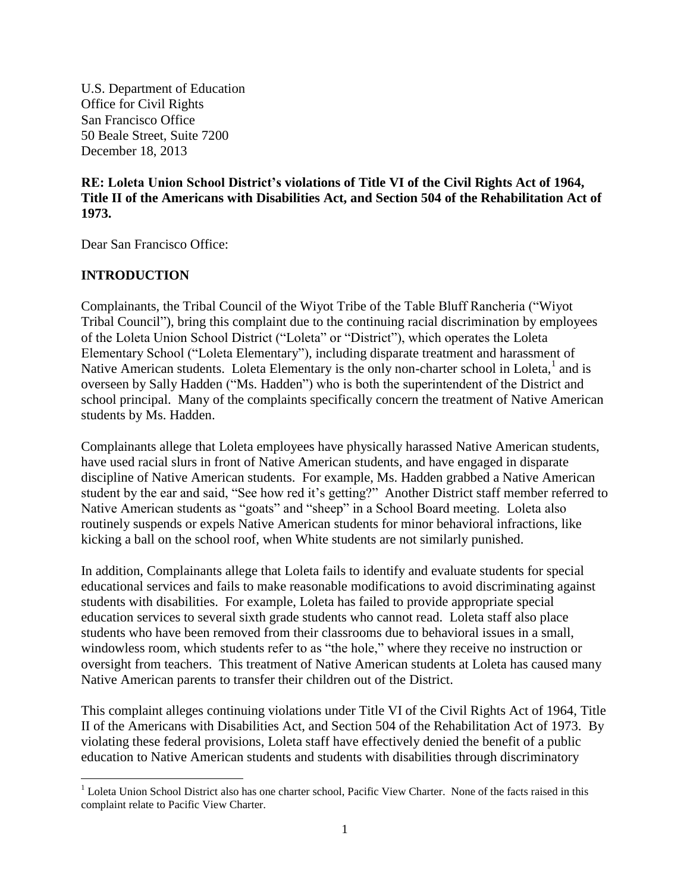U.S. Department of Education Office for Civil Rights San Francisco Office 50 Beale Street, Suite 7200 December 18, 2013

**RE: Loleta Union School District's violations of Title VI of the Civil Rights Act of 1964, Title II of the Americans with Disabilities Act, and Section 504 of the Rehabilitation Act of 1973.**

Dear San Francisco Office:

## **INTRODUCTION**

Complainants, the Tribal Council of the Wiyot Tribe of the Table Bluff Rancheria ("Wiyot Tribal Council"), bring this complaint due to the continuing racial discrimination by employees of the Loleta Union School District ("Loleta" or "District"), which operates the Loleta Elementary School ("Loleta Elementary"), including disparate treatment and harassment of Native American students. Loleta Elementary is the only non-charter school in Loleta,<sup>1</sup> and is overseen by Sally Hadden ("Ms. Hadden") who is both the superintendent of the District and school principal. Many of the complaints specifically concern the treatment of Native American students by Ms. Hadden.

Complainants allege that Loleta employees have physically harassed Native American students, have used racial slurs in front of Native American students, and have engaged in disparate discipline of Native American students. For example, Ms. Hadden grabbed a Native American student by the ear and said, "See how red it's getting?" Another District staff member referred to Native American students as "goats" and "sheep" in a School Board meeting. Loleta also routinely suspends or expels Native American students for minor behavioral infractions, like kicking a ball on the school roof, when White students are not similarly punished.

In addition, Complainants allege that Loleta fails to identify and evaluate students for special educational services and fails to make reasonable modifications to avoid discriminating against students with disabilities. For example, Loleta has failed to provide appropriate special education services to several sixth grade students who cannot read. Loleta staff also place students who have been removed from their classrooms due to behavioral issues in a small, windowless room, which students refer to as "the hole," where they receive no instruction or oversight from teachers. This treatment of Native American students at Loleta has caused many Native American parents to transfer their children out of the District.

This complaint alleges continuing violations under Title VI of the Civil Rights Act of 1964, Title II of the Americans with Disabilities Act, and Section 504 of the Rehabilitation Act of 1973. By violating these federal provisions, Loleta staff have effectively denied the benefit of a public education to Native American students and students with disabilities through discriminatory

 $\overline{\phantom{a}}$  $1$  Loleta Union School District also has one charter school, Pacific View Charter. None of the facts raised in this complaint relate to Pacific View Charter.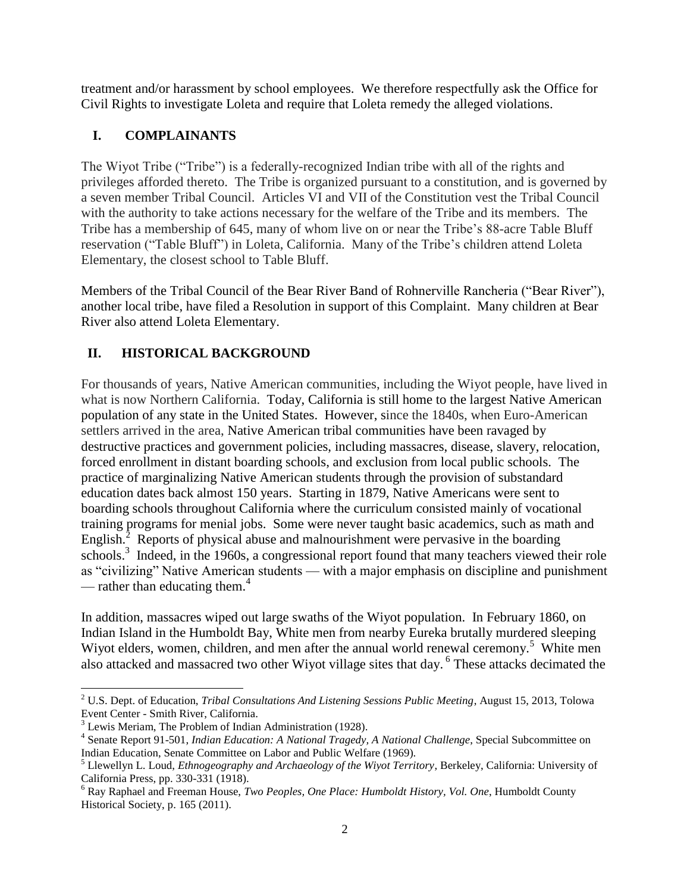treatment and/or harassment by school employees. We therefore respectfully ask the Office for Civil Rights to investigate Loleta and require that Loleta remedy the alleged violations.

# **I. COMPLAINANTS**

The Wiyot Tribe ("Tribe") is a federally-recognized Indian tribe with all of the rights and privileges afforded thereto. The Tribe is organized pursuant to a constitution, and is governed by a seven member Tribal Council. Articles VI and VII of the Constitution vest the Tribal Council with the authority to take actions necessary for the welfare of the Tribe and its members. The Tribe has a membership of 645, many of whom live on or near the Tribe's 88-acre Table Bluff reservation ("Table Bluff") in Loleta, California. Many of the Tribe's children attend Loleta Elementary, the closest school to Table Bluff.

Members of the Tribal Council of the Bear River Band of Rohnerville Rancheria ("Bear River"), another local tribe, have filed a Resolution in support of this Complaint. Many children at Bear River also attend Loleta Elementary.

# **II. HISTORICAL BACKGROUND**

For thousands of years, Native American communities, including the Wiyot people, have lived in what is now Northern California. Today, California is still home to the largest Native American population of any state in the United States. However, since the 1840s, when Euro-American settlers arrived in the area, Native American tribal communities have been ravaged by destructive practices and government policies, including massacres, disease, slavery, relocation, forced enrollment in distant boarding schools, and exclusion from local public schools. The practice of marginalizing Native American students through the provision of substandard education dates back almost 150 years. Starting in 1879, Native Americans were sent to boarding schools throughout California where the curriculum consisted mainly of vocational training programs for menial jobs. Some were never taught basic academics, such as math and English. $^2$  Reports of physical abuse and malnourishment were pervasive in the boarding schools.<sup>3</sup> Indeed, in the 1960s, a congressional report found that many teachers viewed their role as "civilizing" Native American students — with a major emphasis on discipline and punishment — rather than educating them. $4$ 

In addition, massacres wiped out large swaths of the Wiyot population. In February 1860, on Indian Island in the Humboldt Bay, White men from nearby Eureka brutally murdered sleeping Wiyot elders, women, children, and men after the annual world renewal ceremony.<sup>5</sup> White men also attacked and massacred two other Wiyot village sites that day. <sup>6</sup> These attacks decimated the

 $\overline{\phantom{a}}$ <sup>2</sup> U.S. Dept. of Education, *Tribal Consultations And Listening Sessions Public Meeting*, August 15, 2013, Tolowa Event Center - Smith River, California.

<sup>&</sup>lt;sup>3</sup> Lewis Meriam, The Problem of Indian Administration (1928).

<sup>4</sup> Senate Report 91-501, *Indian Education: A National Tragedy, A National Challenge*, Special Subcommittee on Indian Education, Senate Committee on Labor and Public Welfare (1969).

<sup>5</sup> Llewellyn L. Loud, *Ethnogeography and Archaeology of the Wiyot Territory*, Berkeley, California: University of California Press, pp. 330-331 (1918).

<sup>6</sup> Ray Raphael and Freeman House, *Two Peoples, One Place: Humboldt History, Vol. One*, Humboldt County Historical Society, p. 165 (2011).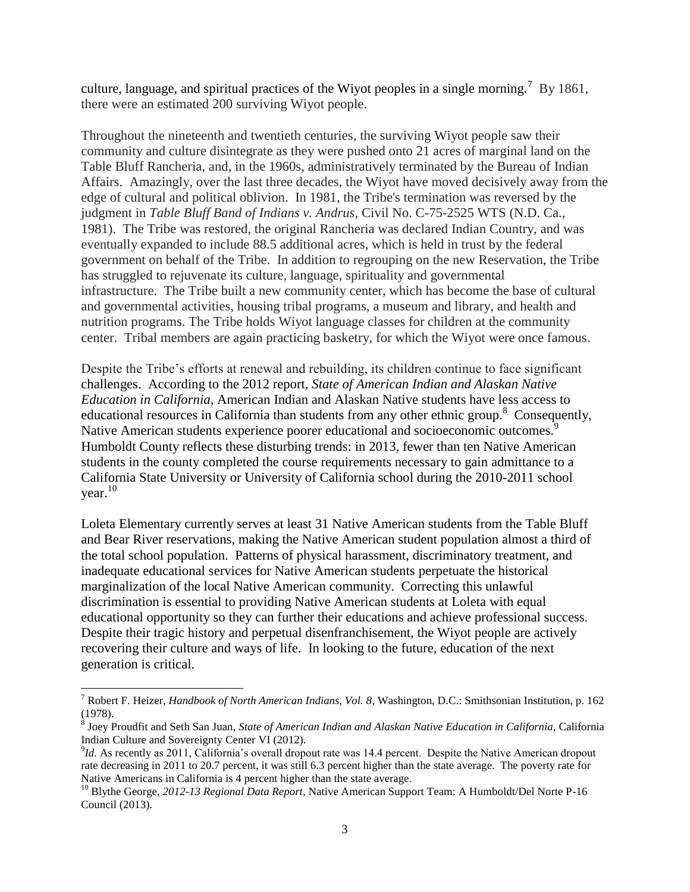culture, language, and spiritual practices of the Wiyot peoples in a single morning.<sup>7</sup> By 1861, there were an estimated 200 surviving Wiyot people.

Throughout the nineteenth and twentieth centuries, the surviving Wiyot people saw their community and culture disintegrate as they were pushed onto 21 acres of marginal land on the Table Bluff Rancheria, and, in the 1960s, administratively terminated by the Bureau of Indian Affairs. Amazingly, over the last three decades, the Wiyot have moved decisively away from the edge of cultural and political oblivion. In 1981, the Tribe's termination was reversed by the judgment in *Table Bluff Band of Indians v. Andrus*, Civil No. C-75-2525 WTS (N.D. Ca., 1981). The Tribe was restored, the original Rancheria was declared Indian Country, and was eventually expanded to include 88.5 additional acres, which is held in trust by the federal government on behalf of the Tribe. In addition to regrouping on the new Reservation, the Tribe has struggled to rejuvenate its culture, language, spirituality and governmental infrastructure. The Tribe built a new community center, which has become the base of cultural and governmental activities, housing tribal programs, a museum and library, and health and nutrition programs. The Tribe holds Wiyot language classes for children at the community center. Tribal members are again practicing basketry, for which the Wiyot were once famous.

Despite the Tribe's efforts at renewal and rebuilding, its children continue to face significant challenges. According to the 2012 report, *State of American Indian and Alaskan Native Education in California*, American Indian and Alaskan Native students have less access to educational resources in California than students from any other ethnic group.<sup>8</sup> Consequently, Native American students experience poorer educational and socioeconomic outcomes.<sup>9</sup> Humboldt County reflects these disturbing trends: in 2013, fewer than ten Native American students in the county completed the course requirements necessary to gain admittance to a California State University or University of California school during the 2010-2011 school year. $^{10}$ 

Loleta Elementary currently serves at least 31 Native American students from the Table Bluff and Bear River reservations, making the Native American student population almost a third of the total school population. Patterns of physical harassment, discriminatory treatment, and inadequate educational services for Native American students perpetuate the historical marginalization of the local Native American community. Correcting this unlawful discrimination is essential to providing Native American students at Loleta with equal educational opportunity so they can further their educations and achieve professional success. Despite their tragic history and perpetual disenfranchisement, the Wiyot people are actively recovering their culture and ways of life. In looking to the future, education of the next generation is critical.

<sup>7</sup> Robert F. Heizer, *Handbook of North American Indians, Vol. 8*, Washington, D.C.: Smithsonian Institution, p. 162 (1978).

<sup>8</sup> Joey Proudfit and Seth San Juan, *State of American Indian and Alaskan Native Education in California,* California Indian Culture and Sovereignty Center VI (2012).

<sup>&</sup>lt;sup>9</sup>Id. As recently as 2011, California's overall dropout rate was 14.4 percent. Despite the Native American dropout rate decreasing in 2011 to 20.7 percent, it was still 6.3 percent higher than the state average. The poverty rate for Native Americans in California is 4 percent higher than the state average.

<sup>10</sup> Blythe George, *2012-13 Regional Data Report*, Native American Support Team: A Humboldt/Del Norte P-16 Council (2013).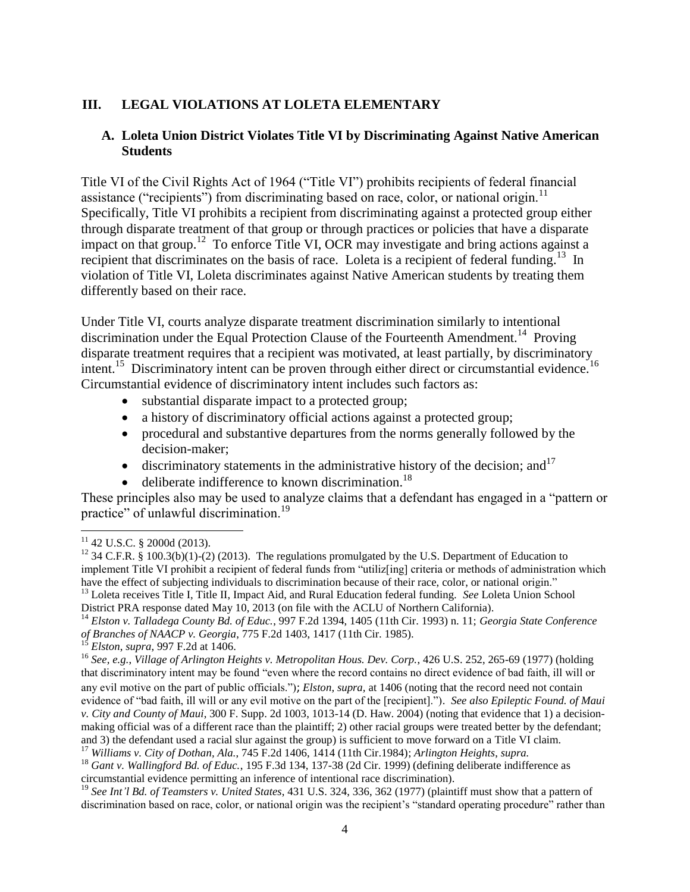### **III. LEGAL VIOLATIONS AT LOLETA ELEMENTARY**

#### **A. Loleta Union District Violates Title VI by Discriminating Against Native American Students**

Title VI of the Civil Rights Act of 1964 ("Title VI") prohibits recipients of federal financial assistance ("recipients") from discriminating based on race, color, or national origin.<sup>11</sup> Specifically, Title VI prohibits a recipient from discriminating against a protected group either through disparate treatment of that group or through practices or policies that have a disparate impact on that group.<sup>12</sup> To enforce Title VI, OCR may investigate and bring actions against a recipient that discriminates on the basis of race. Loleta is a recipient of federal funding.<sup>13</sup> In violation of Title VI, Loleta discriminates against Native American students by treating them differently based on their race.

Under Title VI, courts analyze disparate treatment discrimination similarly to intentional discrimination under the Equal Protection Clause of the Fourteenth Amendment.<sup>14</sup> Proving disparate treatment requires that a recipient was motivated, at least partially, by discriminatory intent.<sup>15</sup> Discriminatory intent can be proven through either direct or circumstantial evidence.<sup>16</sup> Circumstantial evidence of discriminatory intent includes such factors as:

- substantial disparate impact to a protected group;
- a history of discriminatory official actions against a protected group;
- procedural and substantive departures from the norms generally followed by the decision-maker;
- $\bullet$  discriminatory statements in the administrative history of the decision; and<sup>17</sup>
- deliberate indifference to known discrimination.<sup>18</sup>

These principles also may be used to analyze claims that a defendant has engaged in a "pattern or practice" of unlawful discrimination.<sup>19</sup>

<sup>14</sup> *Elston v. Talladega County Bd. of Educ.*, 997 F.2d 1394, 1405 (11th Cir. 1993) n. 11; *Georgia State Conference of Branches of NAACP v. Georgia*, 775 F.2d 1403, 1417 (11th Cir. 1985).

<sup>16</sup> *See, e.g.*, *Village of Arlington Heights v. Metropolitan Hous. Dev. Corp.*, 426 U.S. 252, 265-69 (1977) (holding that discriminatory intent may be found "even where the record contains no direct evidence of bad faith, ill will or any evil motive on the part of public officials."); *Elston, supra,* at 1406 (noting that the record need not contain evidence of "bad faith, ill will or any evil motive on the part of the [recipient]."). *See also Epileptic Found. of Maui v. City and County of Maui*, 300 F. Supp. 2d 1003, 1013-14 (D. Haw. 2004) (noting that evidence that 1) a decisionmaking official was of a different race than the plaintiff; 2) other racial groups were treated better by the defendant; and 3) the defendant used a racial slur against the group) is sufficient to move forward on a Title VI claim.

<sup>17</sup> *Williams v. City of Dothan, Ala.*, 745 F.2d 1406, 1414 (11th Cir.1984); *Arlington Heights*, *supra.*

l  $11$  42 U.S.C. § 2000d (2013).

<sup>&</sup>lt;sup>12</sup> 34 C.F.R. § 100.3(b)(1)-(2) (2013). The regulations promulgated by the U.S. Department of Education to implement Title VI prohibit a recipient of federal funds from "utiliz[ing] criteria or methods of administration which have the effect of subjecting individuals to discrimination because of their race, color, or national origin." <sup>13</sup> Loleta receives Title I, Title II, Impact Aid, and Rural Education federal funding. *See* Loleta Union School

District PRA response dated May 10, 2013 (on file with the ACLU of Northern California).

<sup>15</sup> *Elston*, *supra*, 997 F.2d at 1406.

<sup>18</sup> *Gant v. Wallingford Bd. of Educ.*, 195 F.3d 134, 137-38 (2d Cir. 1999) (defining deliberate indifference as circumstantial evidence permitting an inference of intentional race discrimination).

<sup>19</sup> *See Int'l Bd. of Teamsters v. United States*, 431 U.S. 324, 336, 362 (1977) (plaintiff must show that a pattern of discrimination based on race, color, or national origin was the recipient's "standard operating procedure" rather than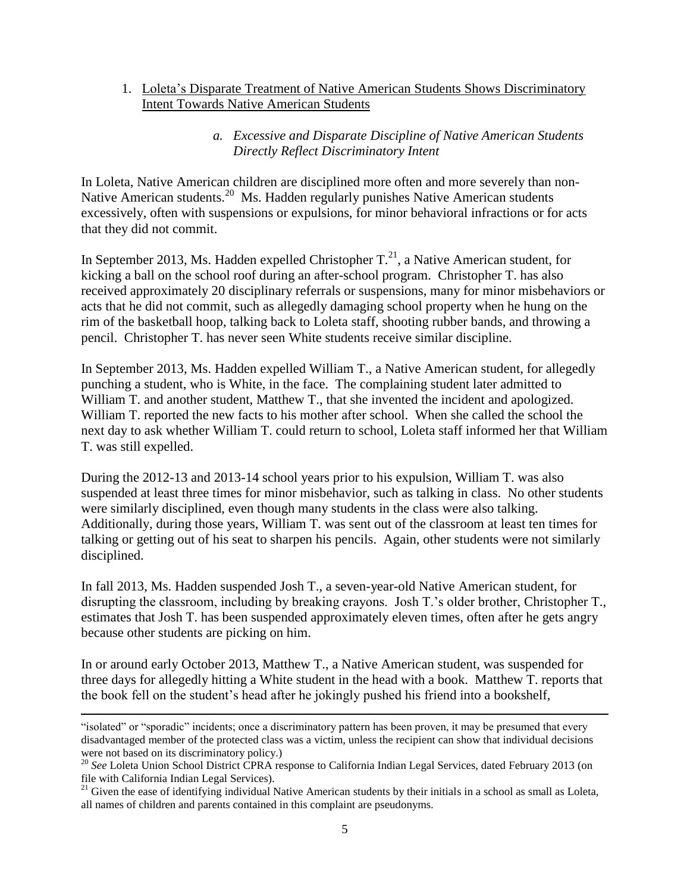1. Loleta's Disparate Treatment of Native American Students Shows Discriminatory Intent Towards Native American Students

#### *a. Excessive and Disparate Discipline of Native American Students Directly Reflect Discriminatory Intent*

In Loleta, Native American children are disciplined more often and more severely than non-Native American students.<sup>20</sup> Ms. Hadden regularly punishes Native American students excessively, often with suspensions or expulsions, for minor behavioral infractions or for acts that they did not commit.

In September 2013, Ms. Hadden expelled Christopher  $T<sup>21</sup>$ , a Native American student, for kicking a ball on the school roof during an after-school program. Christopher T. has also received approximately 20 disciplinary referrals or suspensions, many for minor misbehaviors or acts that he did not commit, such as allegedly damaging school property when he hung on the rim of the basketball hoop, talking back to Loleta staff, shooting rubber bands, and throwing a pencil. Christopher T. has never seen White students receive similar discipline.

In September 2013, Ms. Hadden expelled William T., a Native American student, for allegedly punching a student, who is White, in the face. The complaining student later admitted to William T. and another student, Matthew T., that she invented the incident and apologized. William T. reported the new facts to his mother after school. When she called the school the next day to ask whether William T. could return to school, Loleta staff informed her that William T. was still expelled.

During the 2012-13 and 2013-14 school years prior to his expulsion, William T. was also suspended at least three times for minor misbehavior, such as talking in class. No other students were similarly disciplined, even though many students in the class were also talking. Additionally, during those years, William T. was sent out of the classroom at least ten times for talking or getting out of his seat to sharpen his pencils. Again, other students were not similarly disciplined.

In fall 2013, Ms. Hadden suspended Josh T., a seven-year-old Native American student, for disrupting the classroom, including by breaking crayons. Josh T.'s older brother, Christopher T., estimates that Josh T. has been suspended approximately eleven times, often after he gets angry because other students are picking on him.

In or around early October 2013, Matthew T., a Native American student, was suspended for three days for allegedly hitting a White student in the head with a book. Matthew T. reports that the book fell on the student's head after he jokingly pushed his friend into a bookshelf,

<sup>&</sup>quot;isolated" or "sporadic" incidents; once a discriminatory pattern has been proven, it may be presumed that every disadvantaged member of the protected class was a victim, unless the recipient can show that individual decisions were not based on its discriminatory policy.)

<sup>&</sup>lt;sup>20</sup> See Loleta Union School District CPRA response to California Indian Legal Services, dated February 2013 (on file with California Indian Legal Services).

<sup>&</sup>lt;sup>21</sup> Given the ease of identifying individual Native American students by their initials in a school as small as Loleta, all names of children and parents contained in this complaint are pseudonyms.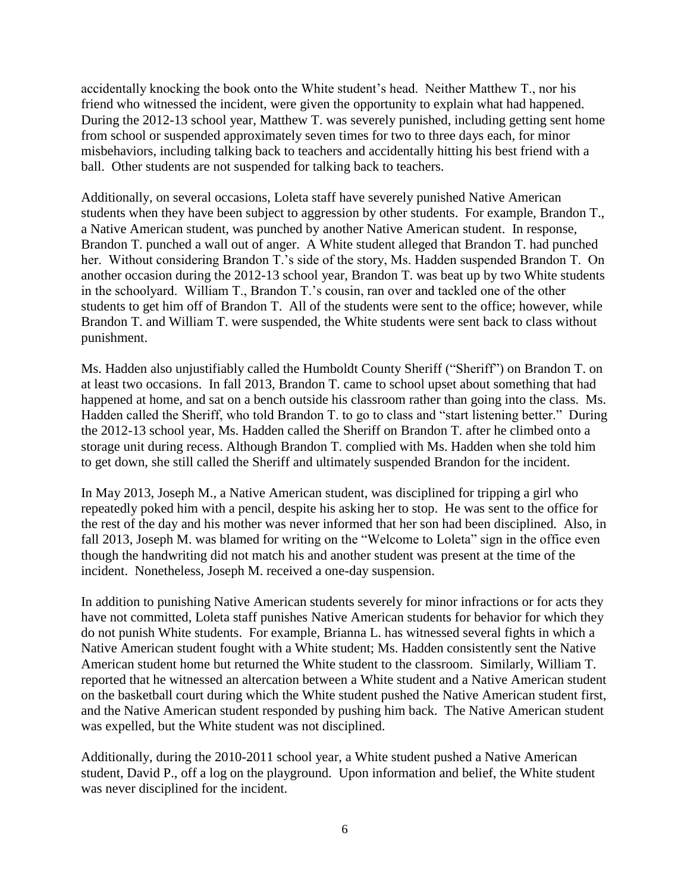accidentally knocking the book onto the White student's head. Neither Matthew T., nor his friend who witnessed the incident, were given the opportunity to explain what had happened. During the 2012-13 school year, Matthew T. was severely punished, including getting sent home from school or suspended approximately seven times for two to three days each, for minor misbehaviors, including talking back to teachers and accidentally hitting his best friend with a ball. Other students are not suspended for talking back to teachers.

Additionally, on several occasions, Loleta staff have severely punished Native American students when they have been subject to aggression by other students. For example, Brandon T., a Native American student, was punched by another Native American student. In response, Brandon T. punched a wall out of anger. A White student alleged that Brandon T. had punched her. Without considering Brandon T.'s side of the story, Ms. Hadden suspended Brandon T. On another occasion during the 2012-13 school year, Brandon T. was beat up by two White students in the schoolyard. William T., Brandon T.'s cousin, ran over and tackled one of the other students to get him off of Brandon T. All of the students were sent to the office; however, while Brandon T. and William T. were suspended, the White students were sent back to class without punishment.

Ms. Hadden also unjustifiably called the Humboldt County Sheriff ("Sheriff") on Brandon T. on at least two occasions. In fall 2013, Brandon T. came to school upset about something that had happened at home, and sat on a bench outside his classroom rather than going into the class. Ms. Hadden called the Sheriff, who told Brandon T. to go to class and "start listening better." During the 2012-13 school year, Ms. Hadden called the Sheriff on Brandon T. after he climbed onto a storage unit during recess. Although Brandon T. complied with Ms. Hadden when she told him to get down, she still called the Sheriff and ultimately suspended Brandon for the incident.

In May 2013, Joseph M., a Native American student, was disciplined for tripping a girl who repeatedly poked him with a pencil, despite his asking her to stop. He was sent to the office for the rest of the day and his mother was never informed that her son had been disciplined. Also, in fall 2013, Joseph M. was blamed for writing on the "Welcome to Loleta" sign in the office even though the handwriting did not match his and another student was present at the time of the incident. Nonetheless, Joseph M. received a one-day suspension.

In addition to punishing Native American students severely for minor infractions or for acts they have not committed, Loleta staff punishes Native American students for behavior for which they do not punish White students. For example, Brianna L. has witnessed several fights in which a Native American student fought with a White student; Ms. Hadden consistently sent the Native American student home but returned the White student to the classroom. Similarly, William T. reported that he witnessed an altercation between a White student and a Native American student on the basketball court during which the White student pushed the Native American student first, and the Native American student responded by pushing him back. The Native American student was expelled, but the White student was not disciplined.

Additionally, during the 2010-2011 school year, a White student pushed a Native American student, David P., off a log on the playground. Upon information and belief, the White student was never disciplined for the incident.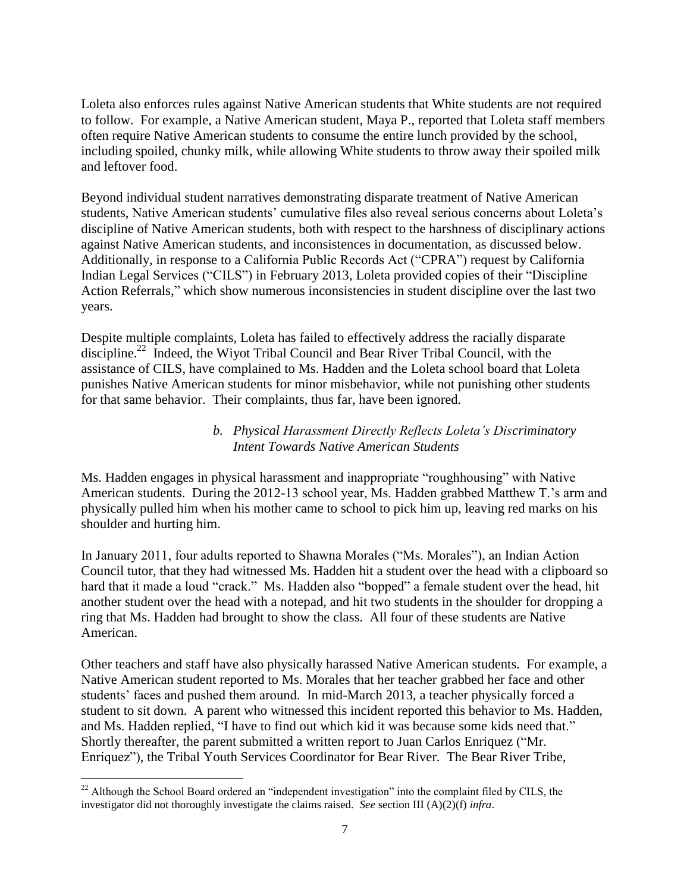Loleta also enforces rules against Native American students that White students are not required to follow. For example, a Native American student, Maya P., reported that Loleta staff members often require Native American students to consume the entire lunch provided by the school, including spoiled, chunky milk, while allowing White students to throw away their spoiled milk and leftover food.

Beyond individual student narratives demonstrating disparate treatment of Native American students, Native American students' cumulative files also reveal serious concerns about Loleta's discipline of Native American students, both with respect to the harshness of disciplinary actions against Native American students, and inconsistences in documentation, as discussed below. Additionally, in response to a California Public Records Act ("CPRA") request by California Indian Legal Services ("CILS") in February 2013, Loleta provided copies of their "Discipline Action Referrals," which show numerous inconsistencies in student discipline over the last two years.

Despite multiple complaints, Loleta has failed to effectively address the racially disparate discipline.<sup>22</sup> Indeed, the Wiyot Tribal Council and Bear River Tribal Council, with the assistance of CILS, have complained to Ms. Hadden and the Loleta school board that Loleta punishes Native American students for minor misbehavior, while not punishing other students for that same behavior. Their complaints, thus far, have been ignored.

#### *b. Physical Harassment Directly Reflects Loleta's Discriminatory Intent Towards Native American Students*

Ms. Hadden engages in physical harassment and inappropriate "roughhousing" with Native American students. During the 2012-13 school year, Ms. Hadden grabbed Matthew T.'s arm and physically pulled him when his mother came to school to pick him up, leaving red marks on his shoulder and hurting him.

In January 2011, four adults reported to Shawna Morales ("Ms. Morales"), an Indian Action Council tutor, that they had witnessed Ms. Hadden hit a student over the head with a clipboard so hard that it made a loud "crack." Ms. Hadden also "bopped" a female student over the head, hit another student over the head with a notepad, and hit two students in the shoulder for dropping a ring that Ms. Hadden had brought to show the class. All four of these students are Native American.

Other teachers and staff have also physically harassed Native American students. For example, a Native American student reported to Ms. Morales that her teacher grabbed her face and other students' faces and pushed them around. In mid-March 2013, a teacher physically forced a student to sit down. A parent who witnessed this incident reported this behavior to Ms. Hadden, and Ms. Hadden replied, "I have to find out which kid it was because some kids need that." Shortly thereafter, the parent submitted a written report to Juan Carlos Enriquez ("Mr. Enriquez"), the Tribal Youth Services Coordinator for Bear River. The Bear River Tribe,

 $\overline{\phantom{a}}$  $22$  Although the School Board ordered an "independent investigation" into the complaint filed by CILS, the investigator did not thoroughly investigate the claims raised. *See* section III (A)(2)(f) *infra*.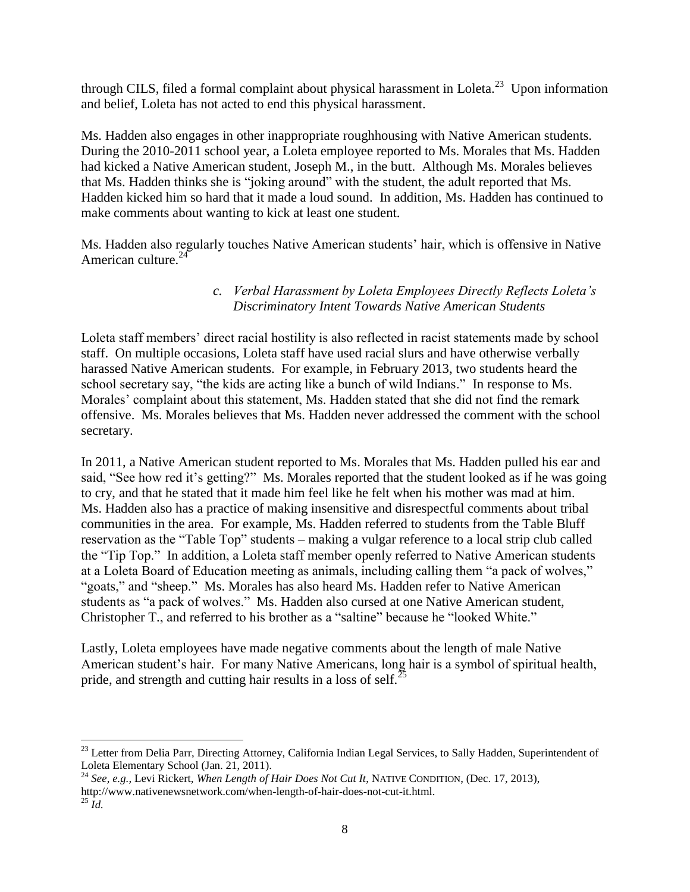through CILS, filed a formal complaint about physical harassment in Loleta.<sup>23</sup> Upon information and belief, Loleta has not acted to end this physical harassment.

Ms. Hadden also engages in other inappropriate roughhousing with Native American students. During the 2010-2011 school year, a Loleta employee reported to Ms. Morales that Ms. Hadden had kicked a Native American student, Joseph M., in the butt. Although Ms. Morales believes that Ms. Hadden thinks she is "joking around" with the student, the adult reported that Ms. Hadden kicked him so hard that it made a loud sound. In addition, Ms. Hadden has continued to make comments about wanting to kick at least one student.

Ms. Hadden also regularly touches Native American students' hair, which is offensive in Native American culture.<sup>24</sup>

## *c. Verbal Harassment by Loleta Employees Directly Reflects Loleta's Discriminatory Intent Towards Native American Students*

Loleta staff members' direct racial hostility is also reflected in racist statements made by school staff. On multiple occasions, Loleta staff have used racial slurs and have otherwise verbally harassed Native American students. For example, in February 2013, two students heard the school secretary say, "the kids are acting like a bunch of wild Indians." In response to Ms. Morales' complaint about this statement, Ms. Hadden stated that she did not find the remark offensive. Ms. Morales believes that Ms. Hadden never addressed the comment with the school secretary.

In 2011, a Native American student reported to Ms. Morales that Ms. Hadden pulled his ear and said, "See how red it's getting?" Ms. Morales reported that the student looked as if he was going to cry, and that he stated that it made him feel like he felt when his mother was mad at him. Ms. Hadden also has a practice of making insensitive and disrespectful comments about tribal communities in the area. For example, Ms. Hadden referred to students from the Table Bluff reservation as the "Table Top" students – making a vulgar reference to a local strip club called the "Tip Top." In addition, a Loleta staff member openly referred to Native American students at a Loleta Board of Education meeting as animals, including calling them "a pack of wolves," "goats," and "sheep." Ms. Morales has also heard Ms. Hadden refer to Native American students as "a pack of wolves." Ms. Hadden also cursed at one Native American student, Christopher T., and referred to his brother as a "saltine" because he "looked White."

Lastly, Loleta employees have made negative comments about the length of male Native American student's hair. For many Native Americans, long hair is a symbol of spiritual health, pride, and strength and cutting hair results in a loss of self.<sup>25</sup>

 $\overline{a}$ <sup>23</sup> Letter from Delia Parr, Directing Attorney, California Indian Legal Services, to Sally Hadden, Superintendent of Loleta Elementary School (Jan. 21, 2011).

<sup>24</sup> *See, e.g.,* Levi Rickert, *When Length of Hair Does Not Cut It*, NATIVE CONDITION, (Dec. 17, 2013),

http://www.nativenewsnetwork.com/when-length-of-hair-does-not-cut-it.html.

 $^{25}$   $\dot{I}$ *d*.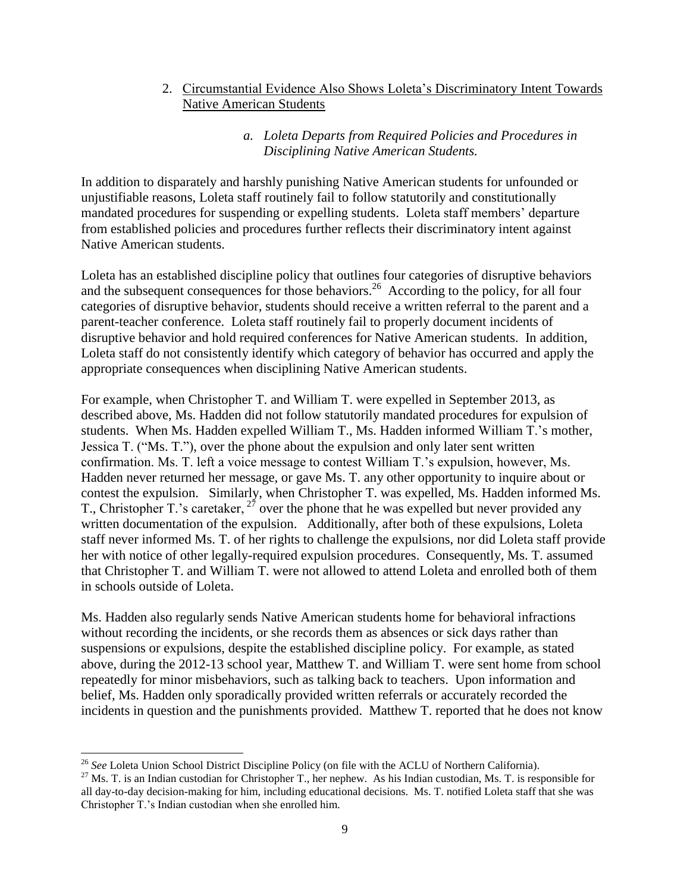2. Circumstantial Evidence Also Shows Loleta's Discriminatory Intent Towards Native American Students

#### *a. Loleta Departs from Required Policies and Procedures in Disciplining Native American Students.*

In addition to disparately and harshly punishing Native American students for unfounded or unjustifiable reasons, Loleta staff routinely fail to follow statutorily and constitutionally mandated procedures for suspending or expelling students. Loleta staff members' departure from established policies and procedures further reflects their discriminatory intent against Native American students.

Loleta has an established discipline policy that outlines four categories of disruptive behaviors and the subsequent consequences for those behaviors.<sup>26</sup> According to the policy, for all four categories of disruptive behavior, students should receive a written referral to the parent and a parent-teacher conference. Loleta staff routinely fail to properly document incidents of disruptive behavior and hold required conferences for Native American students. In addition, Loleta staff do not consistently identify which category of behavior has occurred and apply the appropriate consequences when disciplining Native American students.

For example, when Christopher T. and William T. were expelled in September 2013, as described above, Ms. Hadden did not follow statutorily mandated procedures for expulsion of students. When Ms. Hadden expelled William T., Ms. Hadden informed William T.'s mother, Jessica T. ("Ms. T."), over the phone about the expulsion and only later sent written confirmation. Ms. T. left a voice message to contest William T.'s expulsion, however, Ms. Hadden never returned her message, or gave Ms. T. any other opportunity to inquire about or contest the expulsion. Similarly, when Christopher T. was expelled, Ms. Hadden informed Ms. T., Christopher T.'s caretaker,  $2^{7}$  over the phone that he was expelled but never provided any written documentation of the expulsion. Additionally, after both of these expulsions, Loleta staff never informed Ms. T. of her rights to challenge the expulsions, nor did Loleta staff provide her with notice of other legally-required expulsion procedures. Consequently, Ms. T. assumed that Christopher T. and William T. were not allowed to attend Loleta and enrolled both of them in schools outside of Loleta.

Ms. Hadden also regularly sends Native American students home for behavioral infractions without recording the incidents, or she records them as absences or sick days rather than suspensions or expulsions, despite the established discipline policy. For example, as stated above, during the 2012-13 school year, Matthew T. and William T. were sent home from school repeatedly for minor misbehaviors, such as talking back to teachers. Upon information and belief, Ms. Hadden only sporadically provided written referrals or accurately recorded the incidents in question and the punishments provided. Matthew T. reported that he does not know

<sup>26</sup> *See* Loleta Union School District Discipline Policy (on file with the ACLU of Northern California).

 $27$  Ms. T. is an Indian custodian for Christopher T., her nephew. As his Indian custodian, Ms. T. is responsible for all day-to-day decision-making for him, including educational decisions. Ms. T. notified Loleta staff that she was Christopher T.'s Indian custodian when she enrolled him.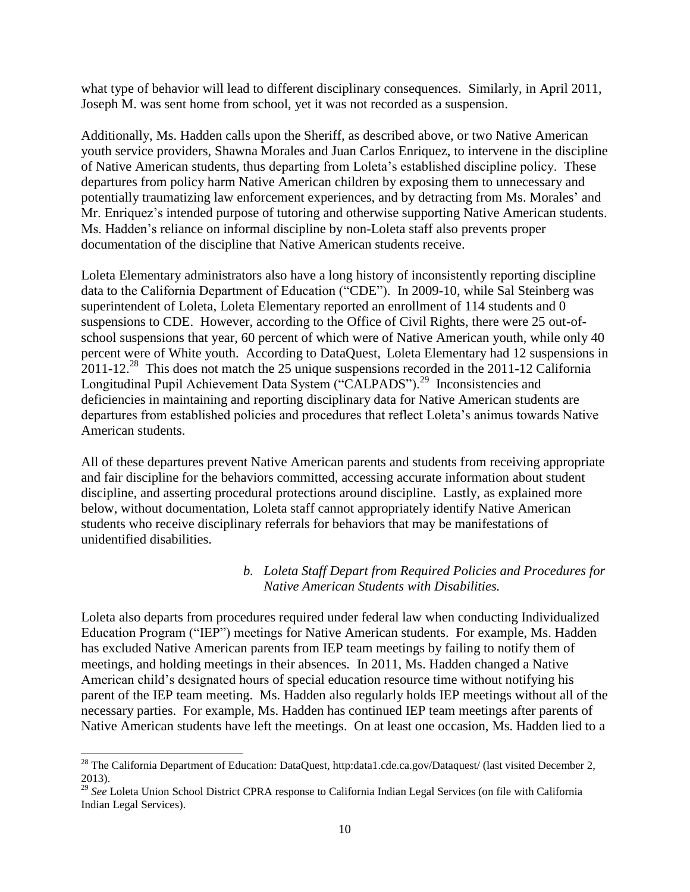what type of behavior will lead to different disciplinary consequences. Similarly, in April 2011, Joseph M. was sent home from school, yet it was not recorded as a suspension.

Additionally, Ms. Hadden calls upon the Sheriff, as described above, or two Native American youth service providers, Shawna Morales and Juan Carlos Enriquez, to intervene in the discipline of Native American students, thus departing from Loleta's established discipline policy. These departures from policy harm Native American children by exposing them to unnecessary and potentially traumatizing law enforcement experiences, and by detracting from Ms. Morales' and Mr. Enriquez's intended purpose of tutoring and otherwise supporting Native American students. Ms. Hadden's reliance on informal discipline by non-Loleta staff also prevents proper documentation of the discipline that Native American students receive.

Loleta Elementary administrators also have a long history of inconsistently reporting discipline data to the California Department of Education ("CDE"). In 2009-10, while Sal Steinberg was superintendent of Loleta, Loleta Elementary reported an enrollment of 114 students and 0 suspensions to CDE. However, according to the Office of Civil Rights, there were 25 out-ofschool suspensions that year, 60 percent of which were of Native American youth, while only 40 percent were of White youth. According to DataQuest, Loleta Elementary had 12 suspensions in  $2011$ -12.<sup>28</sup> This does not match the 25 unique suspensions recorded in the 2011-12 California Longitudinal Pupil Achievement Data System ("CALPADS").<sup>29</sup> Inconsistencies and deficiencies in maintaining and reporting disciplinary data for Native American students are departures from established policies and procedures that reflect Loleta's animus towards Native American students.

All of these departures prevent Native American parents and students from receiving appropriate and fair discipline for the behaviors committed, accessing accurate information about student discipline, and asserting procedural protections around discipline. Lastly, as explained more below, without documentation, Loleta staff cannot appropriately identify Native American students who receive disciplinary referrals for behaviors that may be manifestations of unidentified disabilities.

#### *b. Loleta Staff Depart from Required Policies and Procedures for Native American Students with Disabilities.*

Loleta also departs from procedures required under federal law when conducting Individualized Education Program ("IEP") meetings for Native American students. For example, Ms. Hadden has excluded Native American parents from IEP team meetings by failing to notify them of meetings, and holding meetings in their absences. In 2011, Ms. Hadden changed a Native American child's designated hours of special education resource time without notifying his parent of the IEP team meeting. Ms. Hadden also regularly holds IEP meetings without all of the necessary parties. For example, Ms. Hadden has continued IEP team meetings after parents of Native American students have left the meetings. On at least one occasion, Ms. Hadden lied to a

<sup>&</sup>lt;sup>28</sup> The California Department of Education: DataQuest, http:data1.cde.ca.gov/Dataquest/ (last visited December 2, 2013).

<sup>29</sup> *See* Loleta Union School District CPRA response to California Indian Legal Services (on file with California Indian Legal Services).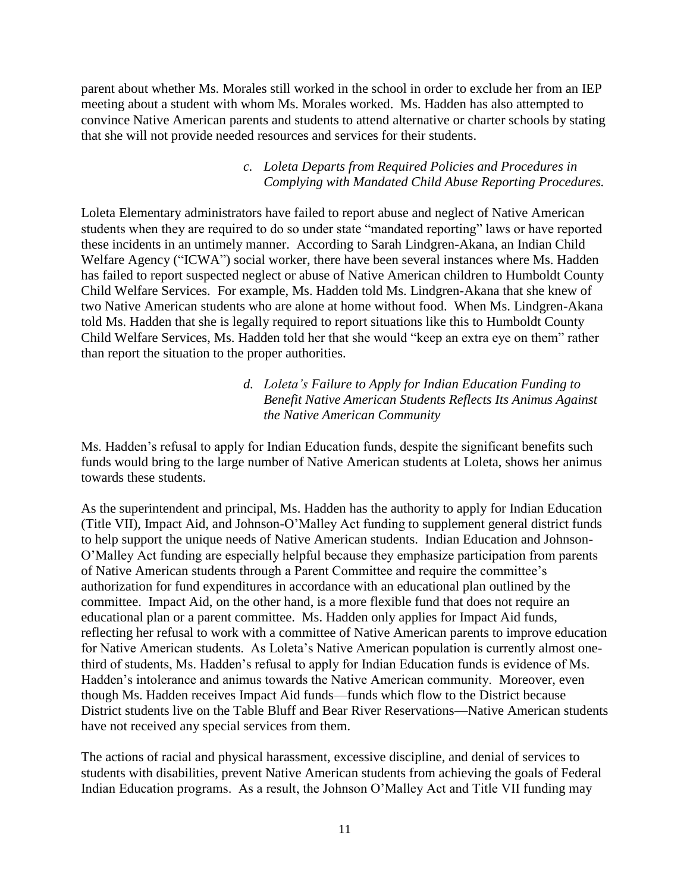parent about whether Ms. Morales still worked in the school in order to exclude her from an IEP meeting about a student with whom Ms. Morales worked. Ms. Hadden has also attempted to convince Native American parents and students to attend alternative or charter schools by stating that she will not provide needed resources and services for their students.

#### *c. Loleta Departs from Required Policies and Procedures in Complying with Mandated Child Abuse Reporting Procedures.*

Loleta Elementary administrators have failed to report abuse and neglect of Native American students when they are required to do so under state "mandated reporting" laws or have reported these incidents in an untimely manner. According to Sarah Lindgren-Akana, an Indian Child Welfare Agency ("ICWA") social worker, there have been several instances where Ms. Hadden has failed to report suspected neglect or abuse of Native American children to Humboldt County Child Welfare Services. For example, Ms. Hadden told Ms. Lindgren-Akana that she knew of two Native American students who are alone at home without food. When Ms. Lindgren-Akana told Ms. Hadden that she is legally required to report situations like this to Humboldt County Child Welfare Services, Ms. Hadden told her that she would "keep an extra eye on them" rather than report the situation to the proper authorities.

#### *d. Loleta's Failure to Apply for Indian Education Funding to Benefit Native American Students Reflects Its Animus Against the Native American Community*

Ms. Hadden's refusal to apply for Indian Education funds, despite the significant benefits such funds would bring to the large number of Native American students at Loleta, shows her animus towards these students.

As the superintendent and principal, Ms. Hadden has the authority to apply for Indian Education (Title VII), Impact Aid, and Johnson-O'Malley Act funding to supplement general district funds to help support the unique needs of Native American students. Indian Education and Johnson-O'Malley Act funding are especially helpful because they emphasize participation from parents of Native American students through a Parent Committee and require the committee's authorization for fund expenditures in accordance with an educational plan outlined by the committee. Impact Aid, on the other hand, is a more flexible fund that does not require an educational plan or a parent committee. Ms. Hadden only applies for Impact Aid funds, reflecting her refusal to work with a committee of Native American parents to improve education for Native American students. As Loleta's Native American population is currently almost onethird of students, Ms. Hadden's refusal to apply for Indian Education funds is evidence of Ms. Hadden's intolerance and animus towards the Native American community. Moreover, even though Ms. Hadden receives Impact Aid funds—funds which flow to the District because District students live on the Table Bluff and Bear River Reservations—Native American students have not received any special services from them.

The actions of racial and physical harassment, excessive discipline, and denial of services to students with disabilities, prevent Native American students from achieving the goals of Federal Indian Education programs. As a result, the Johnson O'Malley Act and Title VII funding may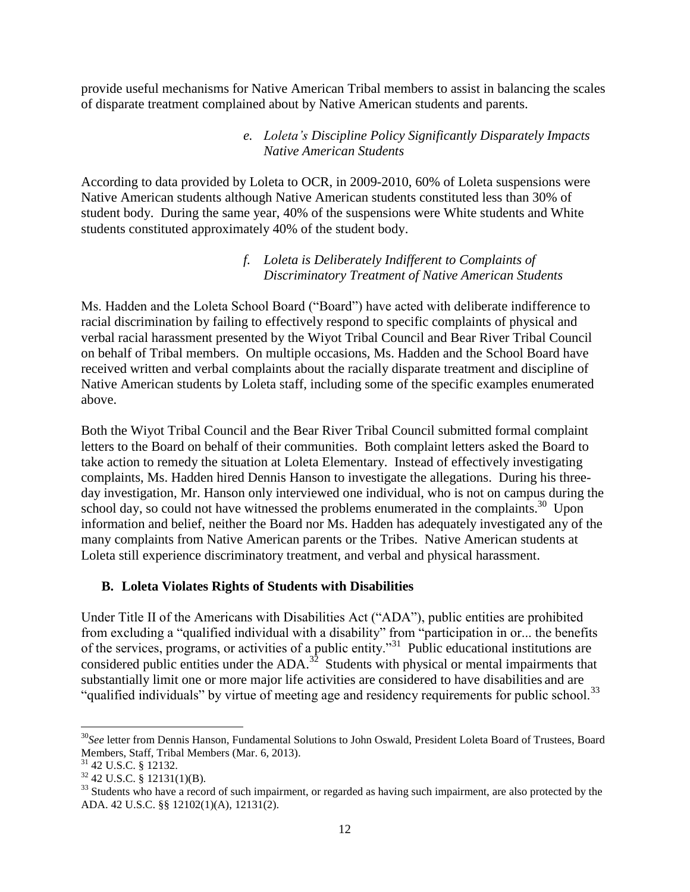provide useful mechanisms for Native American Tribal members to assist in balancing the scales of disparate treatment complained about by Native American students and parents.

#### *e. Loleta's Discipline Policy Significantly Disparately Impacts Native American Students*

According to data provided by Loleta to OCR, in 2009-2010, 60% of Loleta suspensions were Native American students although Native American students constituted less than 30% of student body. During the same year, 40% of the suspensions were White students and White students constituted approximately 40% of the student body.

#### *f. Loleta is Deliberately Indifferent to Complaints of Discriminatory Treatment of Native American Students*

Ms. Hadden and the Loleta School Board ("Board") have acted with deliberate indifference to racial discrimination by failing to effectively respond to specific complaints of physical and verbal racial harassment presented by the Wiyot Tribal Council and Bear River Tribal Council on behalf of Tribal members. On multiple occasions, Ms. Hadden and the School Board have received written and verbal complaints about the racially disparate treatment and discipline of Native American students by Loleta staff, including some of the specific examples enumerated above.

Both the Wiyot Tribal Council and the Bear River Tribal Council submitted formal complaint letters to the Board on behalf of their communities. Both complaint letters asked the Board to take action to remedy the situation at Loleta Elementary. Instead of effectively investigating complaints, Ms. Hadden hired Dennis Hanson to investigate the allegations. During his threeday investigation, Mr. Hanson only interviewed one individual, who is not on campus during the school day, so could not have witnessed the problems enumerated in the complaints.<sup>30</sup> Upon information and belief, neither the Board nor Ms. Hadden has adequately investigated any of the many complaints from Native American parents or the Tribes. Native American students at Loleta still experience discriminatory treatment, and verbal and physical harassment.

#### **B. Loleta Violates Rights of Students with Disabilities**

Under Title II of the Americans with Disabilities Act ("ADA"), public entities are prohibited from excluding a "qualified individual with a disability" from "participation in or... the benefits of the services, programs, or activities of a public entity."<sup>31</sup> Public educational institutions are considered public entities under the  $ADA$ .<sup>32</sup> Students with physical or mental impairments that substantially limit one or more major life activities are considered to have disabilities and are "qualified individuals" by virtue of meeting age and residency requirements for public school.<sup>33</sup>

l

<sup>30</sup>*See* letter from Dennis Hanson, Fundamental Solutions to John Oswald, President Loleta Board of Trustees, Board Members, Staff, Tribal Members (Mar. 6, 2013).

<sup>31</sup> 42 U.S.C. § 12132.

 $32$  42 U.S.C. § 12131(1)(B).

<sup>&</sup>lt;sup>33</sup> Students who have a record of such impairment, or regarded as having such impairment, are also protected by the ADA. 42 U.S.C. §§ 12102(1)(A), 12131(2).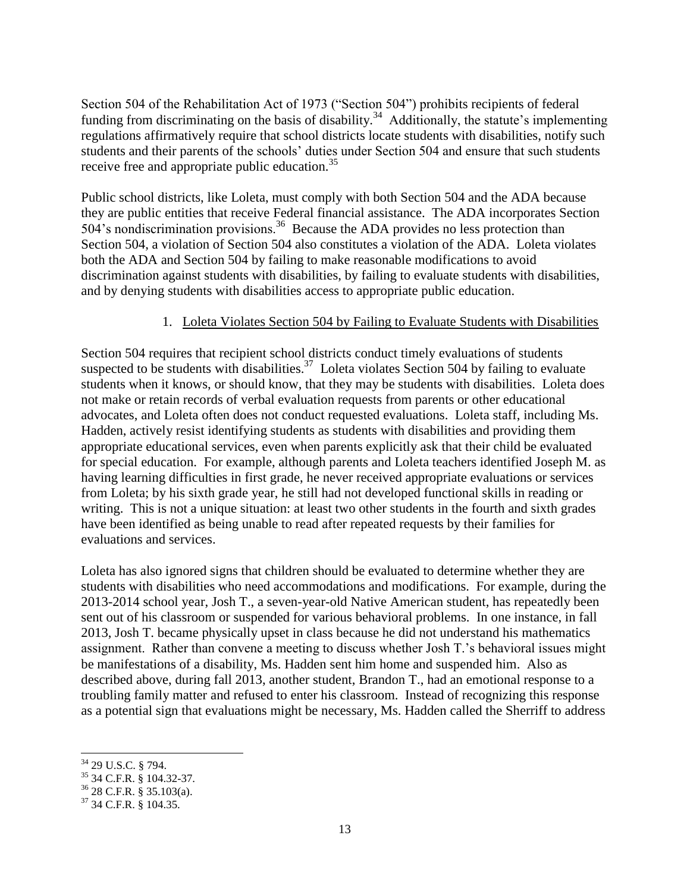Section 504 of the Rehabilitation Act of 1973 ("Section 504") prohibits recipients of federal funding from discriminating on the basis of disability.<sup>34</sup> Additionally, the statute's implementing regulations affirmatively require that school districts locate students with disabilities, notify such students and their parents of the schools' duties under Section 504 and ensure that such students receive free and appropriate public education.<sup>35</sup>

Public school districts, like Loleta, must comply with both Section 504 and the ADA because they are public entities that receive Federal financial assistance. The ADA incorporates Section 504's nondiscrimination provisions.<sup>36</sup> Because the ADA provides no less protection than Section 504, a violation of Section 504 also constitutes a violation of the ADA. Loleta violates both the ADA and Section 504 by failing to make reasonable modifications to avoid discrimination against students with disabilities, by failing to evaluate students with disabilities, and by denying students with disabilities access to appropriate public education.

#### 1. Loleta Violates Section 504 by Failing to Evaluate Students with Disabilities

Section 504 requires that recipient school districts conduct timely evaluations of students suspected to be students with disabilities.<sup>37</sup> Loleta violates Section 504 by failing to evaluate students when it knows, or should know, that they may be students with disabilities. Loleta does not make or retain records of verbal evaluation requests from parents or other educational advocates, and Loleta often does not conduct requested evaluations. Loleta staff, including Ms. Hadden, actively resist identifying students as students with disabilities and providing them appropriate educational services, even when parents explicitly ask that their child be evaluated for special education. For example, although parents and Loleta teachers identified Joseph M. as having learning difficulties in first grade, he never received appropriate evaluations or services from Loleta; by his sixth grade year, he still had not developed functional skills in reading or writing. This is not a unique situation: at least two other students in the fourth and sixth grades have been identified as being unable to read after repeated requests by their families for evaluations and services.

Loleta has also ignored signs that children should be evaluated to determine whether they are students with disabilities who need accommodations and modifications. For example, during the 2013-2014 school year, Josh T., a seven-year-old Native American student, has repeatedly been sent out of his classroom or suspended for various behavioral problems. In one instance, in fall 2013, Josh T. became physically upset in class because he did not understand his mathematics assignment. Rather than convene a meeting to discuss whether Josh T.'s behavioral issues might be manifestations of a disability, Ms. Hadden sent him home and suspended him. Also as described above, during fall 2013, another student, Brandon T., had an emotional response to a troubling family matter and refused to enter his classroom. Instead of recognizing this response as a potential sign that evaluations might be necessary, Ms. Hadden called the Sherriff to address

 $\overline{\phantom{a}}$ <sup>34</sup> 29 U.S.C. § 794.

<sup>35</sup> 34 C.F.R. § 104.32-37.

 $36$  28 C.F.R. § 35.103(a).

<sup>&</sup>lt;sup>37</sup> 34 C.F.R. § 104.35.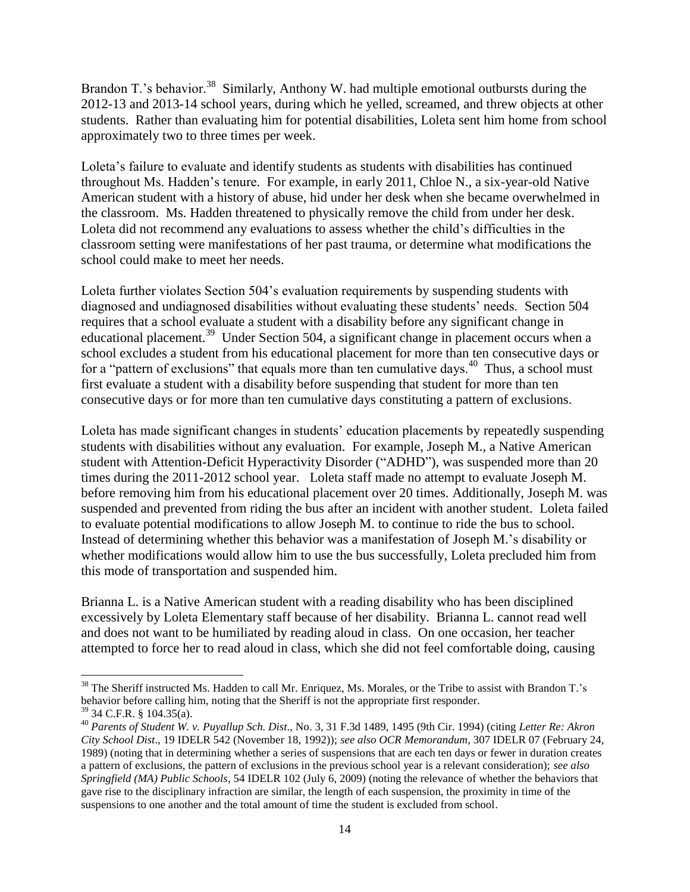Brandon T.'s behavior.<sup>38</sup> Similarly, Anthony W. had multiple emotional outbursts during the 2012-13 and 2013-14 school years, during which he yelled, screamed, and threw objects at other students. Rather than evaluating him for potential disabilities, Loleta sent him home from school approximately two to three times per week.

Loleta's failure to evaluate and identify students as students with disabilities has continued throughout Ms. Hadden's tenure. For example, in early 2011, Chloe N., a six-year-old Native American student with a history of abuse, hid under her desk when she became overwhelmed in the classroom. Ms. Hadden threatened to physically remove the child from under her desk. Loleta did not recommend any evaluations to assess whether the child's difficulties in the classroom setting were manifestations of her past trauma, or determine what modifications the school could make to meet her needs.

Loleta further violates Section 504's evaluation requirements by suspending students with diagnosed and undiagnosed disabilities without evaluating these students' needs. Section 504 requires that a school evaluate a student with a disability before any significant change in educational placement.<sup>39</sup> Under Section 504, a significant change in placement occurs when a school excludes a student from his educational placement for more than ten consecutive days or for a "pattern of exclusions" that equals more than ten cumulative days.<sup>40</sup> Thus, a school must first evaluate a student with a disability before suspending that student for more than ten consecutive days or for more than ten cumulative days constituting a pattern of exclusions.

Loleta has made significant changes in students' education placements by repeatedly suspending students with disabilities without any evaluation. For example, Joseph M., a Native American student with Attention-Deficit Hyperactivity Disorder ("ADHD"), was suspended more than 20 times during the 2011-2012 school year. Loleta staff made no attempt to evaluate Joseph M. before removing him from his educational placement over 20 times. Additionally, Joseph M. was suspended and prevented from riding the bus after an incident with another student. Loleta failed to evaluate potential modifications to allow Joseph M. to continue to ride the bus to school. Instead of determining whether this behavior was a manifestation of Joseph M.'s disability or whether modifications would allow him to use the bus successfully, Loleta precluded him from this mode of transportation and suspended him.

Brianna L. is a Native American student with a reading disability who has been disciplined excessively by Loleta Elementary staff because of her disability. Brianna L. cannot read well and does not want to be humiliated by reading aloud in class. On one occasion, her teacher attempted to force her to read aloud in class, which she did not feel comfortable doing, causing

<sup>&</sup>lt;sup>38</sup> The Sheriff instructed Ms. Hadden to call Mr. Enriquez, Ms. Morales, or the Tribe to assist with Brandon T.'s behavior before calling him, noting that the Sheriff is not the appropriate first responder.

<sup>39</sup> 34 C.F.R. § 104.35(a).

<sup>40</sup> *Parents of Student W. v. Puyallup Sch. Dist*., No. 3, 31 F.3d 1489, 1495 (9th Cir. 1994) (citing *Letter Re: Akron City School Dist*., 19 IDELR 542 (November 18, 1992)); *see also OCR Memorandum*, 307 IDELR 07 (February 24, 1989) (noting that in determining whether a series of suspensions that are each ten days or fewer in duration creates a pattern of exclusions, the pattern of exclusions in the previous school year is a relevant consideration); *see also Springfield (MA) Public Schools*, 54 IDELR 102 (July 6, 2009) (noting the relevance of whether the behaviors that gave rise to the disciplinary infraction are similar, the length of each suspension, the proximity in time of the suspensions to one another and the total amount of time the student is excluded from school.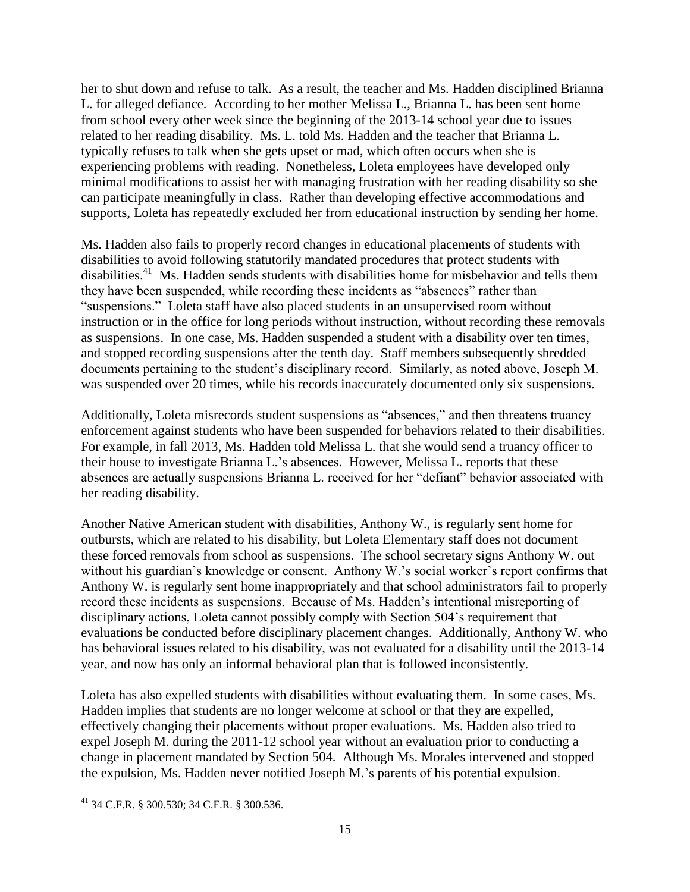her to shut down and refuse to talk. As a result, the teacher and Ms. Hadden disciplined Brianna L. for alleged defiance. According to her mother Melissa L., Brianna L. has been sent home from school every other week since the beginning of the 2013-14 school year due to issues related to her reading disability. Ms. L. told Ms. Hadden and the teacher that Brianna L. typically refuses to talk when she gets upset or mad, which often occurs when she is experiencing problems with reading. Nonetheless, Loleta employees have developed only minimal modifications to assist her with managing frustration with her reading disability so she can participate meaningfully in class. Rather than developing effective accommodations and supports, Loleta has repeatedly excluded her from educational instruction by sending her home.

Ms. Hadden also fails to properly record changes in educational placements of students with disabilities to avoid following statutorily mandated procedures that protect students with disabilities.<sup>41</sup> Ms. Hadden sends students with disabilities home for misbehavior and tells them they have been suspended, while recording these incidents as "absences" rather than "suspensions." Loleta staff have also placed students in an unsupervised room without instruction or in the office for long periods without instruction, without recording these removals as suspensions. In one case, Ms. Hadden suspended a student with a disability over ten times, and stopped recording suspensions after the tenth day. Staff members subsequently shredded documents pertaining to the student's disciplinary record. Similarly, as noted above, Joseph M. was suspended over 20 times, while his records inaccurately documented only six suspensions.

Additionally, Loleta misrecords student suspensions as "absences," and then threatens truancy enforcement against students who have been suspended for behaviors related to their disabilities. For example, in fall 2013, Ms. Hadden told Melissa L. that she would send a truancy officer to their house to investigate Brianna L.'s absences. However, Melissa L. reports that these absences are actually suspensions Brianna L. received for her "defiant" behavior associated with her reading disability.

Another Native American student with disabilities, Anthony W., is regularly sent home for outbursts, which are related to his disability, but Loleta Elementary staff does not document these forced removals from school as suspensions. The school secretary signs Anthony W. out without his guardian's knowledge or consent. Anthony W.'s social worker's report confirms that Anthony W. is regularly sent home inappropriately and that school administrators fail to properly record these incidents as suspensions. Because of Ms. Hadden's intentional misreporting of disciplinary actions, Loleta cannot possibly comply with Section 504's requirement that evaluations be conducted before disciplinary placement changes. Additionally, Anthony W. who has behavioral issues related to his disability, was not evaluated for a disability until the 2013-14 year, and now has only an informal behavioral plan that is followed inconsistently.

Loleta has also expelled students with disabilities without evaluating them. In some cases, Ms. Hadden implies that students are no longer welcome at school or that they are expelled, effectively changing their placements without proper evaluations. Ms. Hadden also tried to expel Joseph M. during the 2011-12 school year without an evaluation prior to conducting a change in placement mandated by Section 504. Although Ms. Morales intervened and stopped the expulsion, Ms. Hadden never notified Joseph M.'s parents of his potential expulsion.

 $\overline{\phantom{a}}$  $^{41}$  34 C.F.R. § 300.530; 34 C.F.R. § 300.536.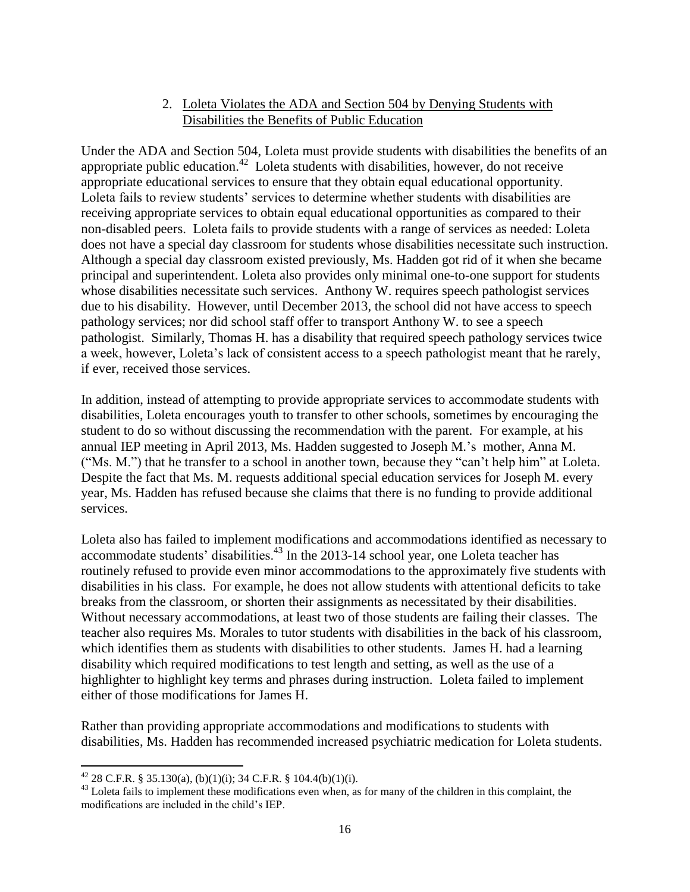#### 2. Loleta Violates the ADA and Section 504 by Denying Students with Disabilities the Benefits of Public Education

Under the ADA and Section 504, Loleta must provide students with disabilities the benefits of an appropriate public education.<sup>42</sup> Loleta students with disabilities, however, do not receive appropriate educational services to ensure that they obtain equal educational opportunity. Loleta fails to review students' services to determine whether students with disabilities are receiving appropriate services to obtain equal educational opportunities as compared to their non-disabled peers. Loleta fails to provide students with a range of services as needed: Loleta does not have a special day classroom for students whose disabilities necessitate such instruction. Although a special day classroom existed previously, Ms. Hadden got rid of it when she became principal and superintendent. Loleta also provides only minimal one-to-one support for students whose disabilities necessitate such services. Anthony W. requires speech pathologist services due to his disability. However, until December 2013, the school did not have access to speech pathology services; nor did school staff offer to transport Anthony W. to see a speech pathologist. Similarly, Thomas H. has a disability that required speech pathology services twice a week, however, Loleta's lack of consistent access to a speech pathologist meant that he rarely, if ever, received those services.

In addition, instead of attempting to provide appropriate services to accommodate students with disabilities, Loleta encourages youth to transfer to other schools, sometimes by encouraging the student to do so without discussing the recommendation with the parent. For example, at his annual IEP meeting in April 2013, Ms. Hadden suggested to Joseph M.'s mother, Anna M. ("Ms. M.") that he transfer to a school in another town, because they "can't help him" at Loleta. Despite the fact that Ms. M. requests additional special education services for Joseph M. every year, Ms. Hadden has refused because she claims that there is no funding to provide additional services.

Loleta also has failed to implement modifications and accommodations identified as necessary to accommodate students' disabilities.<sup>43</sup> In the 2013-14 school year, one Loleta teacher has routinely refused to provide even minor accommodations to the approximately five students with disabilities in his class. For example, he does not allow students with attentional deficits to take breaks from the classroom, or shorten their assignments as necessitated by their disabilities. Without necessary accommodations, at least two of those students are failing their classes. The teacher also requires Ms. Morales to tutor students with disabilities in the back of his classroom, which identifies them as students with disabilities to other students. James H. had a learning disability which required modifications to test length and setting, as well as the use of a highlighter to highlight key terms and phrases during instruction. Loleta failed to implement either of those modifications for James H.

Rather than providing appropriate accommodations and modifications to students with disabilities, Ms. Hadden has recommended increased psychiatric medication for Loleta students.

 $\overline{\phantom{a}}$ <sup>42</sup> 28 C.F.R. § 35.130(a), (b)(1)(i); 34 C.F.R. § 104.4(b)(1)(i).

<sup>&</sup>lt;sup>43</sup> Loleta fails to implement these modifications even when, as for many of the children in this complaint, the modifications are included in the child's IEP.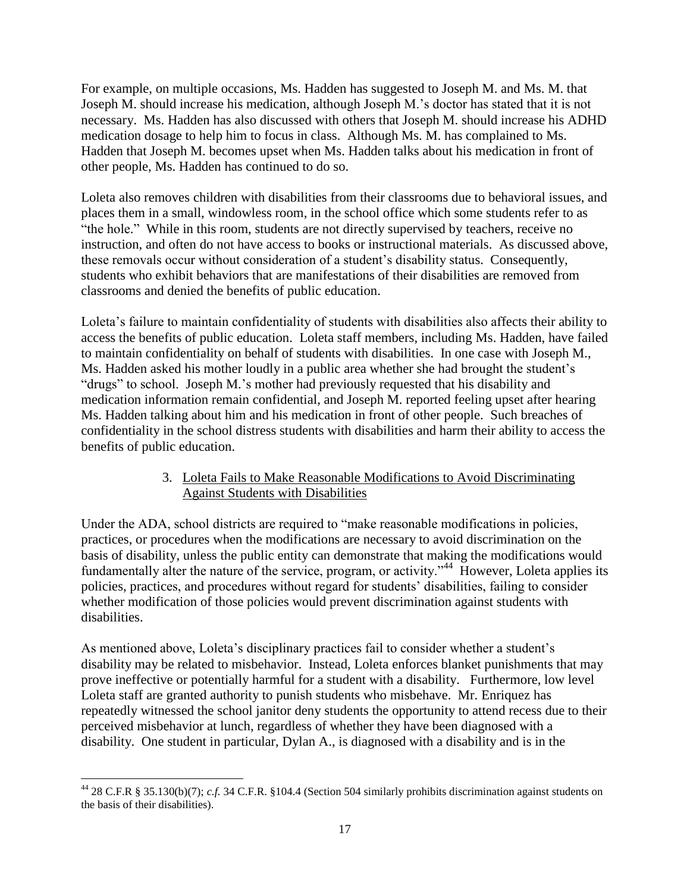For example, on multiple occasions, Ms. Hadden has suggested to Joseph M. and Ms. M. that Joseph M. should increase his medication, although Joseph M.'s doctor has stated that it is not necessary. Ms. Hadden has also discussed with others that Joseph M. should increase his ADHD medication dosage to help him to focus in class. Although Ms. M. has complained to Ms. Hadden that Joseph M. becomes upset when Ms. Hadden talks about his medication in front of other people, Ms. Hadden has continued to do so.

Loleta also removes children with disabilities from their classrooms due to behavioral issues, and places them in a small, windowless room, in the school office which some students refer to as "the hole." While in this room, students are not directly supervised by teachers, receive no instruction, and often do not have access to books or instructional materials. As discussed above, these removals occur without consideration of a student's disability status. Consequently, students who exhibit behaviors that are manifestations of their disabilities are removed from classrooms and denied the benefits of public education.

Loleta's failure to maintain confidentiality of students with disabilities also affects their ability to access the benefits of public education. Loleta staff members, including Ms. Hadden, have failed to maintain confidentiality on behalf of students with disabilities. In one case with Joseph M., Ms. Hadden asked his mother loudly in a public area whether she had brought the student's "drugs" to school. Joseph M.'s mother had previously requested that his disability and medication information remain confidential, and Joseph M. reported feeling upset after hearing Ms. Hadden talking about him and his medication in front of other people. Such breaches of confidentiality in the school distress students with disabilities and harm their ability to access the benefits of public education.

## 3. Loleta Fails to Make Reasonable Modifications to Avoid Discriminating Against Students with Disabilities

Under the ADA, school districts are required to "make reasonable modifications in policies, practices, or procedures when the modifications are necessary to avoid discrimination on the basis of disability, unless the public entity can demonstrate that making the modifications would fundamentally alter the nature of the service, program, or activity."<sup>44</sup> However, Loleta applies its policies, practices, and procedures without regard for students' disabilities, failing to consider whether modification of those policies would prevent discrimination against students with disabilities.

As mentioned above, Loleta's disciplinary practices fail to consider whether a student's disability may be related to misbehavior. Instead, Loleta enforces blanket punishments that may prove ineffective or potentially harmful for a student with a disability. Furthermore, low level Loleta staff are granted authority to punish students who misbehave. Mr. Enriquez has repeatedly witnessed the school janitor deny students the opportunity to attend recess due to their perceived misbehavior at lunch, regardless of whether they have been diagnosed with a disability. One student in particular, Dylan A., is diagnosed with a disability and is in the

 $\overline{\phantom{a}}$  $^{44}$  28 C.F.R § 35.130(b)(7); *c.f.* 34 C.F.R. §104.4 (Section 504 similarly prohibits discrimination against students on the basis of their disabilities).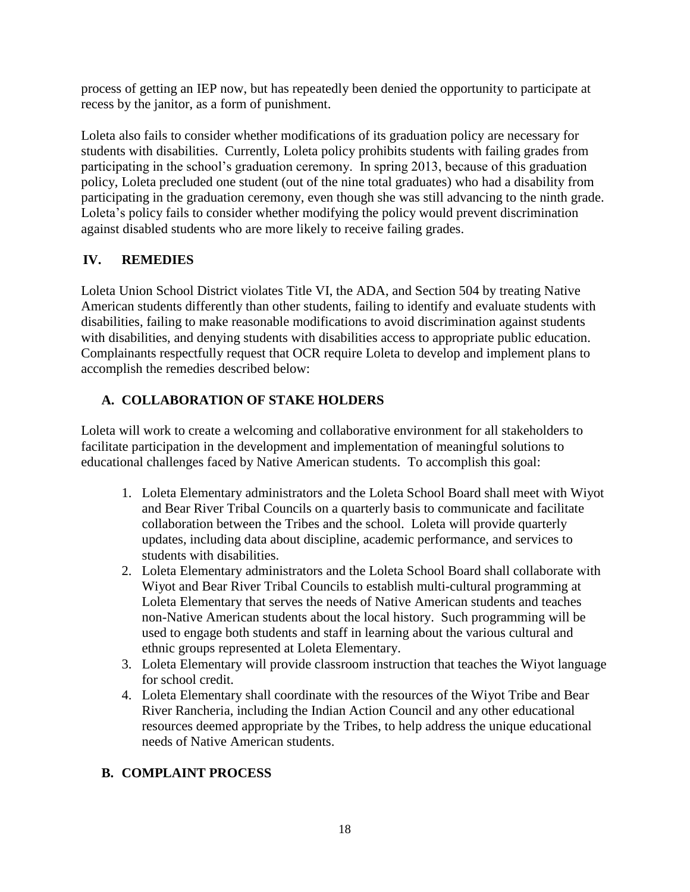process of getting an IEP now, but has repeatedly been denied the opportunity to participate at recess by the janitor, as a form of punishment.

Loleta also fails to consider whether modifications of its graduation policy are necessary for students with disabilities. Currently, Loleta policy prohibits students with failing grades from participating in the school's graduation ceremony. In spring 2013, because of this graduation policy, Loleta precluded one student (out of the nine total graduates) who had a disability from participating in the graduation ceremony, even though she was still advancing to the ninth grade. Loleta's policy fails to consider whether modifying the policy would prevent discrimination against disabled students who are more likely to receive failing grades.

# **IV. REMEDIES**

Loleta Union School District violates Title VI, the ADA, and Section 504 by treating Native American students differently than other students, failing to identify and evaluate students with disabilities, failing to make reasonable modifications to avoid discrimination against students with disabilities, and denying students with disabilities access to appropriate public education. Complainants respectfully request that OCR require Loleta to develop and implement plans to accomplish the remedies described below:

# **A. COLLABORATION OF STAKE HOLDERS**

Loleta will work to create a welcoming and collaborative environment for all stakeholders to facilitate participation in the development and implementation of meaningful solutions to educational challenges faced by Native American students. To accomplish this goal:

- 1. Loleta Elementary administrators and the Loleta School Board shall meet with Wiyot and Bear River Tribal Councils on a quarterly basis to communicate and facilitate collaboration between the Tribes and the school. Loleta will provide quarterly updates, including data about discipline, academic performance, and services to students with disabilities.
- 2. Loleta Elementary administrators and the Loleta School Board shall collaborate with Wiyot and Bear River Tribal Councils to establish multi-cultural programming at Loleta Elementary that serves the needs of Native American students and teaches non-Native American students about the local history. Such programming will be used to engage both students and staff in learning about the various cultural and ethnic groups represented at Loleta Elementary.
- 3. Loleta Elementary will provide classroom instruction that teaches the Wiyot language for school credit.
- 4. Loleta Elementary shall coordinate with the resources of the Wiyot Tribe and Bear River Rancheria, including the Indian Action Council and any other educational resources deemed appropriate by the Tribes, to help address the unique educational needs of Native American students.

# **B. COMPLAINT PROCESS**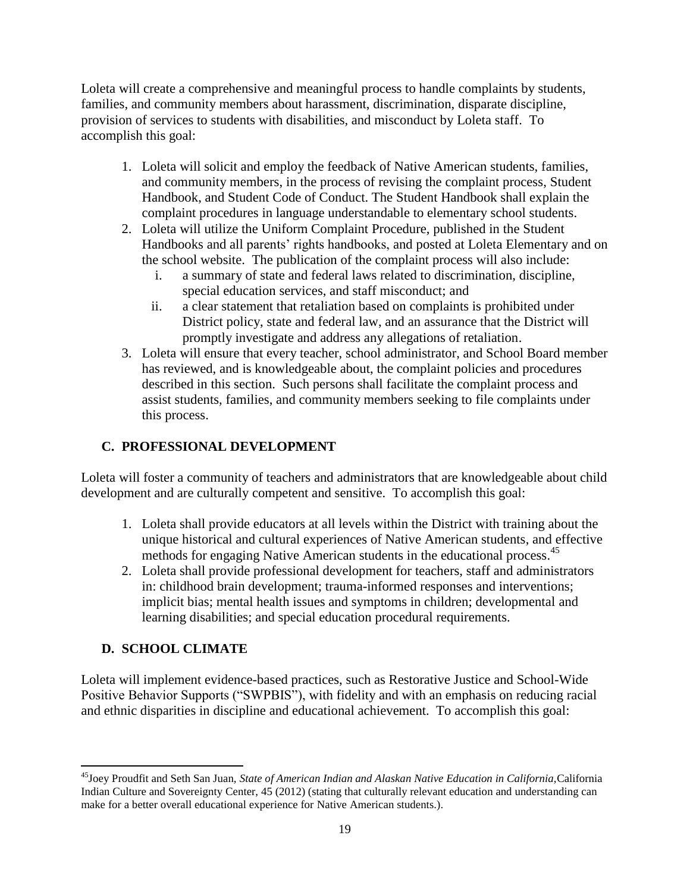Loleta will create a comprehensive and meaningful process to handle complaints by students, families, and community members about harassment, discrimination, disparate discipline, provision of services to students with disabilities, and misconduct by Loleta staff. To accomplish this goal:

- 1. Loleta will solicit and employ the feedback of Native American students, families, and community members, in the process of revising the complaint process, Student Handbook, and Student Code of Conduct. The Student Handbook shall explain the complaint procedures in language understandable to elementary school students.
- 2. Loleta will utilize the Uniform Complaint Procedure, published in the Student Handbooks and all parents' rights handbooks, and posted at Loleta Elementary and on the school website. The publication of the complaint process will also include:
	- i. a summary of state and federal laws related to discrimination, discipline, special education services, and staff misconduct; and
	- ii. a clear statement that retaliation based on complaints is prohibited under District policy, state and federal law, and an assurance that the District will promptly investigate and address any allegations of retaliation.
- 3. Loleta will ensure that every teacher, school administrator, and School Board member has reviewed, and is knowledgeable about, the complaint policies and procedures described in this section. Such persons shall facilitate the complaint process and assist students, families, and community members seeking to file complaints under this process.

# **C. PROFESSIONAL DEVELOPMENT**

Loleta will foster a community of teachers and administrators that are knowledgeable about child development and are culturally competent and sensitive. To accomplish this goal:

- 1. Loleta shall provide educators at all levels within the District with training about the unique historical and cultural experiences of Native American students, and effective methods for engaging Native American students in the educational process.<sup>45</sup>
- 2. Loleta shall provide professional development for teachers, staff and administrators in: childhood brain development; trauma-informed responses and interventions; implicit bias; mental health issues and symptoms in children; developmental and learning disabilities; and special education procedural requirements.

# **D. SCHOOL CLIMATE**

 $\overline{\phantom{a}}$ 

Loleta will implement evidence-based practices, such as Restorative Justice and School-Wide Positive Behavior Supports ("SWPBIS"), with fidelity and with an emphasis on reducing racial and ethnic disparities in discipline and educational achievement. To accomplish this goal:

<sup>45</sup>Joey Proudfit and Seth San Juan, *State of American Indian and Alaskan Native Education in California,*California Indian Culture and Sovereignty Center, 45 (2012) (stating that culturally relevant education and understanding can make for a better overall educational experience for Native American students.).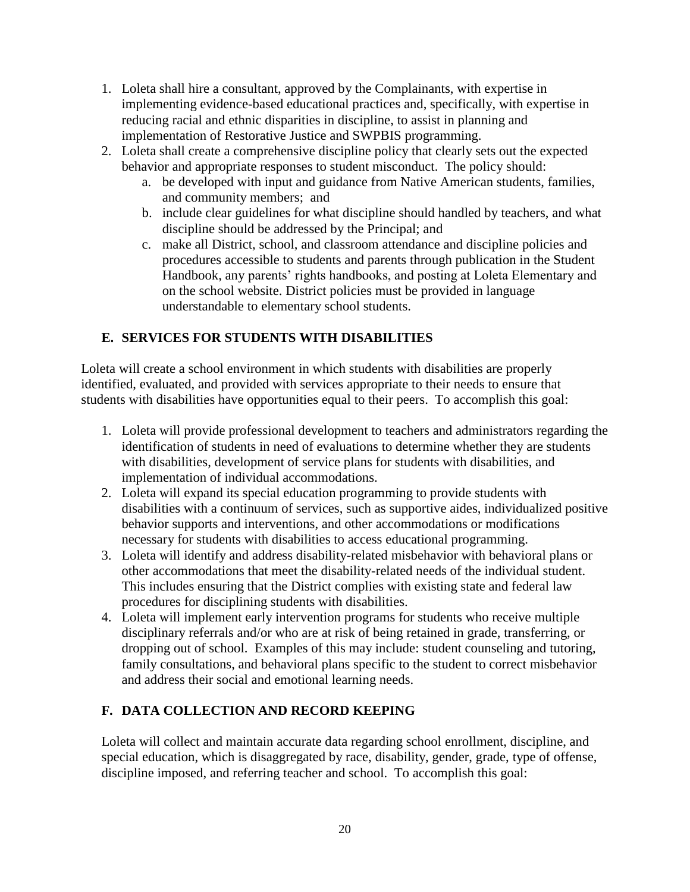- 1. Loleta shall hire a consultant, approved by the Complainants, with expertise in implementing evidence-based educational practices and, specifically, with expertise in reducing racial and ethnic disparities in discipline, to assist in planning and implementation of Restorative Justice and SWPBIS programming.
- 2. Loleta shall create a comprehensive discipline policy that clearly sets out the expected behavior and appropriate responses to student misconduct. The policy should:
	- a. be developed with input and guidance from Native American students, families, and community members; and
	- b. include clear guidelines for what discipline should handled by teachers, and what discipline should be addressed by the Principal; and
	- c. make all District, school, and classroom attendance and discipline policies and procedures accessible to students and parents through publication in the Student Handbook, any parents' rights handbooks, and posting at Loleta Elementary and on the school website. District policies must be provided in language understandable to elementary school students.

# **E. SERVICES FOR STUDENTS WITH DISABILITIES**

Loleta will create a school environment in which students with disabilities are properly identified, evaluated, and provided with services appropriate to their needs to ensure that students with disabilities have opportunities equal to their peers. To accomplish this goal:

- 1. Loleta will provide professional development to teachers and administrators regarding the identification of students in need of evaluations to determine whether they are students with disabilities, development of service plans for students with disabilities, and implementation of individual accommodations.
- 2. Loleta will expand its special education programming to provide students with disabilities with a continuum of services, such as supportive aides, individualized positive behavior supports and interventions, and other accommodations or modifications necessary for students with disabilities to access educational programming.
- 3. Loleta will identify and address disability-related misbehavior with behavioral plans or other accommodations that meet the disability-related needs of the individual student. This includes ensuring that the District complies with existing state and federal law procedures for disciplining students with disabilities.
- 4. Loleta will implement early intervention programs for students who receive multiple disciplinary referrals and/or who are at risk of being retained in grade, transferring, or dropping out of school. Examples of this may include: student counseling and tutoring, family consultations, and behavioral plans specific to the student to correct misbehavior and address their social and emotional learning needs.

# **F. DATA COLLECTION AND RECORD KEEPING**

Loleta will collect and maintain accurate data regarding school enrollment, discipline, and special education, which is disaggregated by race, disability, gender, grade, type of offense, discipline imposed, and referring teacher and school. To accomplish this goal: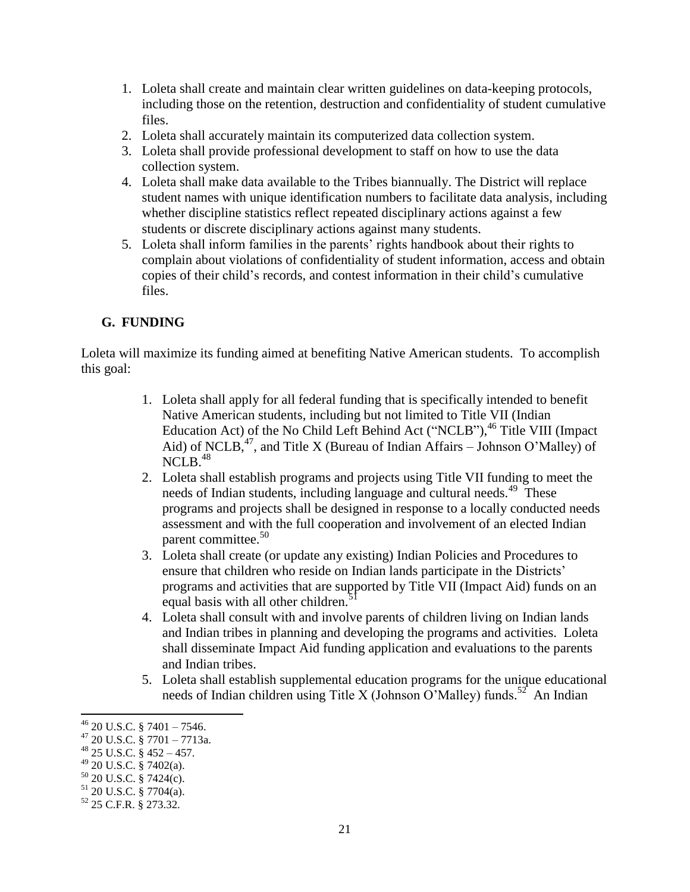- 1. Loleta shall create and maintain clear written guidelines on data-keeping protocols, including those on the retention, destruction and confidentiality of student cumulative files.
- 2. Loleta shall accurately maintain its computerized data collection system.
- 3. Loleta shall provide professional development to staff on how to use the data collection system.
- 4. Loleta shall make data available to the Tribes biannually. The District will replace student names with unique identification numbers to facilitate data analysis, including whether discipline statistics reflect repeated disciplinary actions against a few students or discrete disciplinary actions against many students.
- 5. Loleta shall inform families in the parents' rights handbook about their rights to complain about violations of confidentiality of student information, access and obtain copies of their child's records, and contest information in their child's cumulative files.

## **G. FUNDING**

Loleta will maximize its funding aimed at benefiting Native American students. To accomplish this goal:

- 1. Loleta shall apply for all federal funding that is specifically intended to benefit Native American students, including but not limited to Title VII (Indian Education Act) of the No Child Left Behind Act ("NCLB"),<sup>46</sup> Title VIII (Impact Aid) of NCLB,  $47$ , and Title X (Bureau of Indian Affairs – Johnson O'Malley) of NCLB. 48
- 2. Loleta shall establish programs and projects using Title VII funding to meet the needs of Indian students, including language and cultural needs.<sup>49</sup> These programs and projects shall be designed in response to a locally conducted needs assessment and with the full cooperation and involvement of an elected Indian parent committee.<sup>50</sup>
- 3. Loleta shall create (or update any existing) Indian Policies and Procedures to ensure that children who reside on Indian lands participate in the Districts' programs and activities that are supported by Title VII (Impact Aid) funds on an equal basis with all other children.<sup>5</sup>
- 4. Loleta shall consult with and involve parents of children living on Indian lands and Indian tribes in planning and developing the programs and activities. Loleta shall disseminate Impact Aid funding application and evaluations to the parents and Indian tribes.
- 5. Loleta shall establish supplemental education programs for the unique educational needs of Indian children using Title X (Johnson O'Malley) funds.<sup>52</sup> An Indian

 $\overline{\phantom{a}}$  $^{46}$  20 U.S.C. § 7401 – 7546.

 $47$  20 U.S.C. § 7701 – 7713a.

 $^{48}$  25 U.S.C. § 452 – 457.

 $49$  20 U.S.C. § 7402(a).

 $50$  20 U.S.C. § 7424(c).

 $51$  20 U.S.C. § 7704(a).

<sup>52</sup> 25 C.F.R. § 273.32.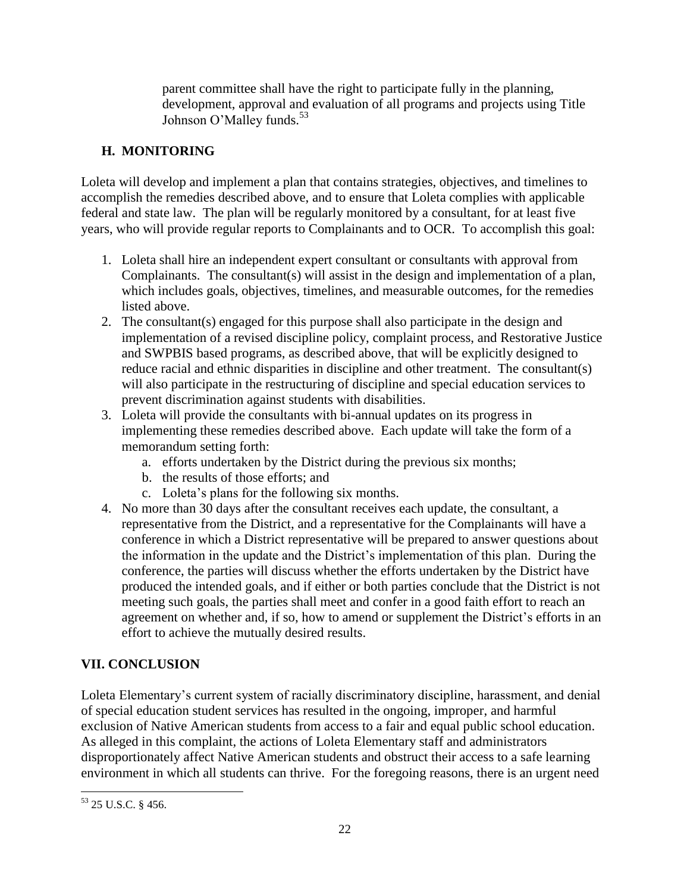parent committee shall have the right to participate fully in the planning, development, approval and evaluation of all programs and projects using Title Johnson O'Malley funds.<sup>53</sup>

## **H. MONITORING**

Loleta will develop and implement a plan that contains strategies, objectives, and timelines to accomplish the remedies described above, and to ensure that Loleta complies with applicable federal and state law. The plan will be regularly monitored by a consultant, for at least five years, who will provide regular reports to Complainants and to OCR. To accomplish this goal:

- 1. Loleta shall hire an independent expert consultant or consultants with approval from Complainants. The consultant(s) will assist in the design and implementation of a plan, which includes goals, objectives, timelines, and measurable outcomes, for the remedies listed above.
- 2. The consultant(s) engaged for this purpose shall also participate in the design and implementation of a revised discipline policy, complaint process, and Restorative Justice and SWPBIS based programs, as described above, that will be explicitly designed to reduce racial and ethnic disparities in discipline and other treatment. The consultant(s) will also participate in the restructuring of discipline and special education services to prevent discrimination against students with disabilities.
- 3. Loleta will provide the consultants with bi-annual updates on its progress in implementing these remedies described above. Each update will take the form of a memorandum setting forth:
	- a. efforts undertaken by the District during the previous six months;
	- b. the results of those efforts; and
	- c. Loleta's plans for the following six months.
- 4. No more than 30 days after the consultant receives each update, the consultant, a representative from the District, and a representative for the Complainants will have a conference in which a District representative will be prepared to answer questions about the information in the update and the District's implementation of this plan. During the conference, the parties will discuss whether the efforts undertaken by the District have produced the intended goals, and if either or both parties conclude that the District is not meeting such goals, the parties shall meet and confer in a good faith effort to reach an agreement on whether and, if so, how to amend or supplement the District's efforts in an effort to achieve the mutually desired results.

# **VII. CONCLUSION**

Loleta Elementary's current system of racially discriminatory discipline, harassment, and denial of special education student services has resulted in the ongoing, improper, and harmful exclusion of Native American students from access to a fair and equal public school education. As alleged in this complaint, the actions of Loleta Elementary staff and administrators disproportionately affect Native American students and obstruct their access to a safe learning environment in which all students can thrive. For the foregoing reasons, there is an urgent need

 $\overline{\phantom{a}}$ <sup>53</sup> 25 U.S.C. § 456.